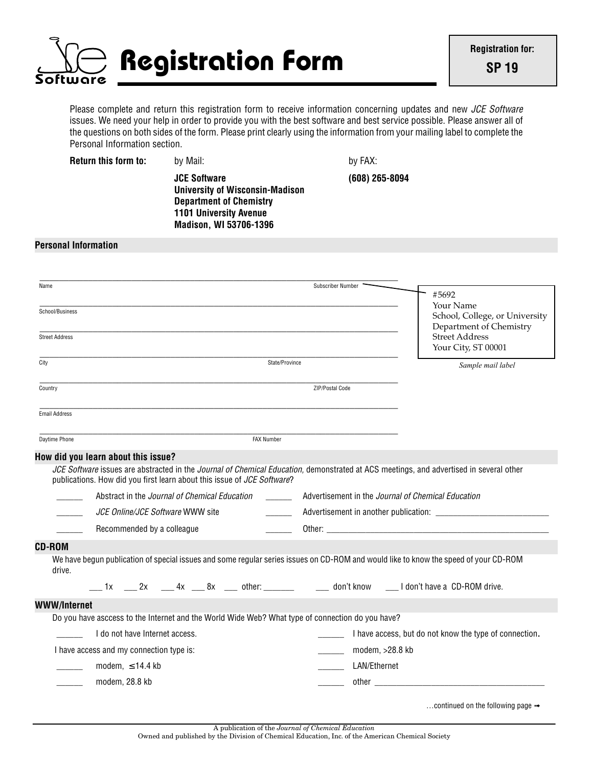

Please complete and return this registration form to receive information concerning updates and new *JCE Software* issues. We need your help in order to provide you with the best software and best service possible. Please answer all of the questions on both sides of the form. Please print clearly using the information from your mailing label to complete the Personal Information section.

**Return this form to:** by Mail: by Hall: by FAX:

**JCE Software (608) 265-8094 University of Wisconsin-Madison Department of Chemistry 1101 University Avenue Madison, WI 53706-1396**

## **Personal Information**

| Name                                                                                                                                                                                                              |                                                             | Subscriber Number                                  |                                                        |
|-------------------------------------------------------------------------------------------------------------------------------------------------------------------------------------------------------------------|-------------------------------------------------------------|----------------------------------------------------|--------------------------------------------------------|
|                                                                                                                                                                                                                   |                                                             |                                                    | #5692                                                  |
| School/Business                                                                                                                                                                                                   |                                                             |                                                    | Your Name<br>School, College, or University            |
|                                                                                                                                                                                                                   |                                                             |                                                    | Department of Chemistry                                |
| <b>Street Address</b>                                                                                                                                                                                             |                                                             |                                                    | <b>Street Address</b>                                  |
|                                                                                                                                                                                                                   |                                                             |                                                    | Your City, ST 00001                                    |
| City                                                                                                                                                                                                              | State/Province                                              |                                                    | Sample mail label                                      |
| Country                                                                                                                                                                                                           |                                                             | ZIP/Postal Code                                    |                                                        |
| <b>Email Address</b>                                                                                                                                                                                              |                                                             |                                                    |                                                        |
|                                                                                                                                                                                                                   |                                                             |                                                    |                                                        |
| Daytime Phone                                                                                                                                                                                                     | <b>FAX Number</b>                                           |                                                    |                                                        |
| How did you learn about this issue?                                                                                                                                                                               |                                                             |                                                    |                                                        |
| JCE Software issues are abstracted in the Journal of Chemical Education, demonstrated at ACS meetings, and advertised in several other<br>publications. How did you first learn about this issue of JCE Software? |                                                             |                                                    |                                                        |
| Abstract in the Journal of Chemical Education                                                                                                                                                                     | $\mathcal{L}^{\text{max}}$ . The $\mathcal{L}^{\text{max}}$ | Advertisement in the Journal of Chemical Education |                                                        |
| JCE Online/JCE Software WWW site                                                                                                                                                                                  |                                                             |                                                    |                                                        |
| Recommended by a colleague                                                                                                                                                                                        |                                                             |                                                    |                                                        |
|                                                                                                                                                                                                                   |                                                             |                                                    |                                                        |
|                                                                                                                                                                                                                   |                                                             |                                                    |                                                        |
| We have begun publication of special issues and some regular series issues on CD-ROM and would like to know the speed of your CD-ROM<br>drive.                                                                    |                                                             |                                                    |                                                        |
| 1x 2x 4x 8x ther: don't know I don't have a CD-ROM drive.                                                                                                                                                         |                                                             |                                                    |                                                        |
|                                                                                                                                                                                                                   |                                                             |                                                    |                                                        |
| Do you have asccess to the Internet and the World Wide Web? What type of connection do you have?                                                                                                                  |                                                             |                                                    |                                                        |
| I do not have Internet access.                                                                                                                                                                                    |                                                             |                                                    | I have access, but do not know the type of connection. |
| I have access and my connection type is:                                                                                                                                                                          |                                                             | modem, >28.8 kb                                    |                                                        |
| CD-ROM<br>WWW/Internet<br>modem, $\leq$ 14.4 kb                                                                                                                                                                   |                                                             | LAN/Ethernet                                       |                                                        |

A publication of the *Journal of Chemical Education*